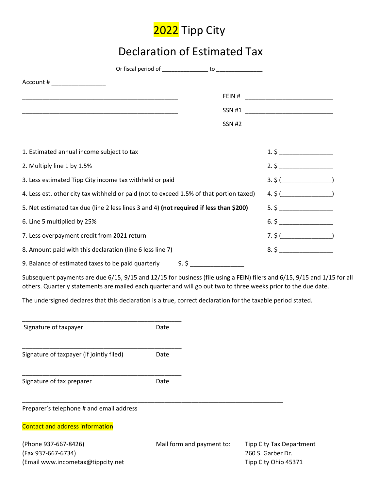

# Declaration of Estimated Tax

| Account # ____________________                                                                                        |     |           |  |
|-----------------------------------------------------------------------------------------------------------------------|-----|-----------|--|
| <u> 1989 - Johann John Stoff, deutscher Stoffen und der Stoffen und der Stoffen und der Stoffen und der Stoffen u</u> |     |           |  |
|                                                                                                                       |     | SSN #1    |  |
| <u> 1989 - Johann Stoff, deutscher Stoff, der Stoff, der Stoff, der Stoff, der Stoff, der Stoff, der Stoff, der S</u> |     | SSN #2    |  |
|                                                                                                                       |     |           |  |
| 1. Estimated annual income subject to tax                                                                             |     | $1.\,$ \$ |  |
| 2. Multiply line 1 by 1.5%                                                                                            |     | 2.5       |  |
| 3. Less estimated Tipp City income tax withheld or paid                                                               |     | $3.\,5($  |  |
| 4. Less est. other city tax withheld or paid (not to exceed 1.5% of that portion taxed)                               |     | 4.5(      |  |
| 5. Net estimated tax due (line 2 less lines 3 and 4) (not required if less than \$200)                                |     | $5.\,$ \$ |  |
| 6. Line 5 multiplied by 25%                                                                                           |     | 6.5       |  |
| 7. Less overpayment credit from 2021 return                                                                           |     | 7.5(      |  |
| 8. Amount paid with this declaration (line 6 less line 7)                                                             |     | 8.5       |  |
| 9. Balance of estimated taxes to be paid quarterly                                                                    | 9.5 |           |  |

Subsequent payments are due 6/15, 9/15 and 12/15 for business (file using a FEIN) filers and 6/15, 9/15 and 1/15 for all others. Quarterly statements are mailed each quarter and will go out two to three weeks prior to the due date.

The undersigned declares that this declaration is a true, correct declaration for the taxable period stated.

| Signature of taxpayer                    | Date                      |                                 |
|------------------------------------------|---------------------------|---------------------------------|
| Signature of taxpayer (if jointly filed) | Date                      |                                 |
|                                          |                           |                                 |
| Signature of tax preparer                | Date                      |                                 |
| Preparer's telephone # and email address |                           |                                 |
| <b>Contact and address information</b>   |                           |                                 |
| (Phone 937-667-8426)                     | Mail form and payment to: | <b>Tipp City Tax Department</b> |
| (Fax 937-667-6734)                       |                           | 260 S. Garber Dr.               |
| (Email www.incometax@tippcity.net        |                           | Tipp City Ohio 45371            |